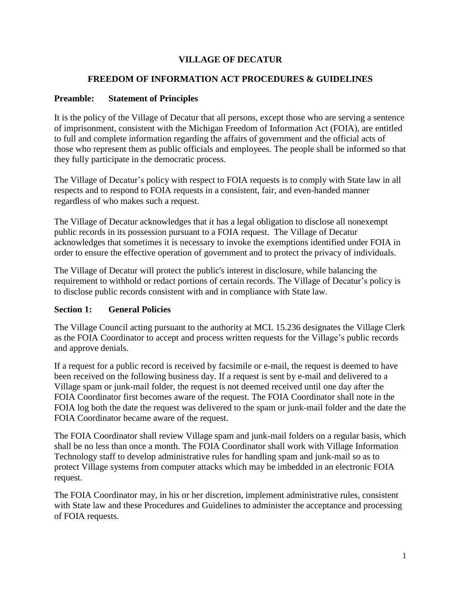## **VILLAGE OF DECATUR**

#### **FREEDOM OF INFORMATION ACT PROCEDURES & GUIDELINES**

#### **Preamble: Statement of Principles**

It is the policy of the Village of Decatur that all persons, except those who are serving a sentence of imprisonment, consistent with the Michigan Freedom of Information Act (FOIA), are entitled to full and complete information regarding the affairs of government and the official acts of those who represent them as public officials and employees. The people shall be informed so that they fully participate in the democratic process.

The Village of Decatur's policy with respect to FOIA requests is to comply with State law in all respects and to respond to FOIA requests in a consistent, fair, and even-handed manner regardless of who makes such a request.

The Village of Decatur acknowledges that it has a legal obligation to disclose all nonexempt public records in its possession pursuant to a FOIA request. The Village of Decatur acknowledges that sometimes it is necessary to invoke the exemptions identified under FOIA in order to ensure the effective operation of government and to protect the privacy of individuals.

The Village of Decatur will protect the public's interest in disclosure, while balancing the requirement to withhold or redact portions of certain records. The Village of Decatur's policy is to disclose public records consistent with and in compliance with State law.

#### **Section 1: General Policies**

The Village Council acting pursuant to the authority at MCL 15.236 designates the Village Clerk as the FOIA Coordinator to accept and process written requests for the Village's public records and approve denials.

If a request for a public record is received by facsimile or e-mail, the request is deemed to have been received on the following business day. If a request is sent by e-mail and delivered to a Village spam or junk-mail folder, the request is not deemed received until one day after the FOIA Coordinator first becomes aware of the request. The FOIA Coordinator shall note in the FOIA log both the date the request was delivered to the spam or junk-mail folder and the date the FOIA Coordinator became aware of the request.

The FOIA Coordinator shall review Village spam and junk-mail folders on a regular basis, which shall be no less than once a month. The FOIA Coordinator shall work with Village Information Technology staff to develop administrative rules for handling spam and junk-mail so as to protect Village systems from computer attacks which may be imbedded in an electronic FOIA request.

The FOIA Coordinator may, in his or her discretion, implement administrative rules, consistent with State law and these Procedures and Guidelines to administer the acceptance and processing of FOIA requests.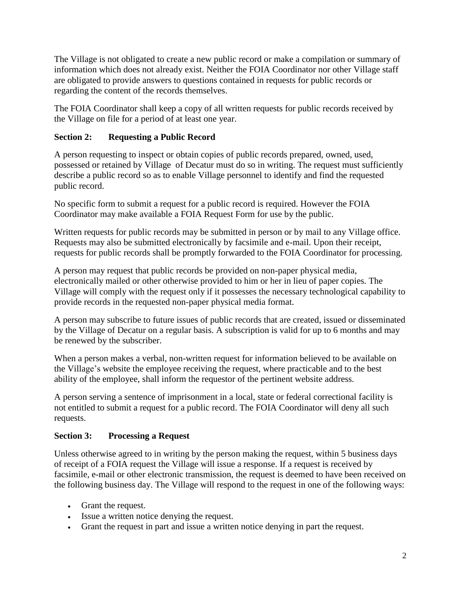The Village is not obligated to create a new public record or make a compilation or summary of information which does not already exist. Neither the FOIA Coordinator nor other Village staff are obligated to provide answers to questions contained in requests for public records or regarding the content of the records themselves.

The FOIA Coordinator shall keep a copy of all written requests for public records received by the Village on file for a period of at least one year.

# **Section 2: Requesting a Public Record**

A person requesting to inspect or obtain copies of public records prepared, owned, used, possessed or retained by Village of Decatur must do so in writing. The request must sufficiently describe a public record so as to enable Village personnel to identify and find the requested public record.

No specific form to submit a request for a public record is required. However the FOIA Coordinator may make available a FOIA Request Form for use by the public.

Written requests for public records may be submitted in person or by mail to any Village office. Requests may also be submitted electronically by facsimile and e-mail. Upon their receipt, requests for public records shall be promptly forwarded to the FOIA Coordinator for processing.

A person may request that public records be provided on non-paper physical media, electronically mailed or other otherwise provided to him or her in lieu of paper copies. The Village will comply with the request only if it possesses the necessary technological capability to provide records in the requested non-paper physical media format.

A person may subscribe to future issues of public records that are created, issued or disseminated by the Village of Decatur on a regular basis. A subscription is valid for up to 6 months and may be renewed by the subscriber.

When a person makes a verbal, non-written request for information believed to be available on the Village's website the employee receiving the request, where practicable and to the best ability of the employee, shall inform the requestor of the pertinent website address.

A person serving a sentence of imprisonment in a local, state or federal correctional facility is not entitled to submit a request for a public record. The FOIA Coordinator will deny all such requests.

## **Section 3: Processing a Request**

Unless otherwise agreed to in writing by the person making the request, within 5 business days of receipt of a FOIA request the Village will issue a response. If a request is received by facsimile, e-mail or other electronic transmission, the request is deemed to have been received on the following business day. The Village will respond to the request in one of the following ways:

- Grant the request.
- Issue a written notice denying the request.
- Grant the request in part and issue a written notice denying in part the request.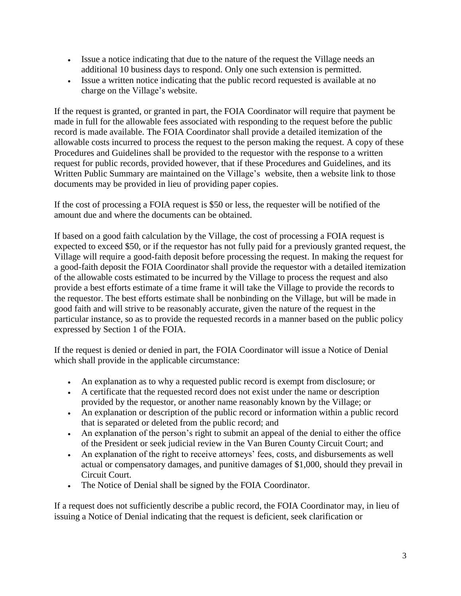- Issue a notice indicating that due to the nature of the request the Village needs an additional 10 business days to respond. Only one such extension is permitted.
- Issue a written notice indicating that the public record requested is available at no charge on the Village's website.

If the request is granted, or granted in part, the FOIA Coordinator will require that payment be made in full for the allowable fees associated with responding to the request before the public record is made available. The FOIA Coordinator shall provide a detailed itemization of the allowable costs incurred to process the request to the person making the request. A copy of these Procedures and Guidelines shall be provided to the requestor with the response to a written request for public records, provided however, that if these Procedures and Guidelines, and its Written Public Summary are maintained on the Village's website, then a website link to those documents may be provided in lieu of providing paper copies.

If the cost of processing a FOIA request is \$50 or less, the requester will be notified of the amount due and where the documents can be obtained.

If based on a good faith calculation by the Village, the cost of processing a FOIA request is expected to exceed \$50, or if the requestor has not fully paid for a previously granted request, the Village will require a good-faith deposit before processing the request. In making the request for a good-faith deposit the FOIA Coordinator shall provide the requestor with a detailed itemization of the allowable costs estimated to be incurred by the Village to process the request and also provide a best efforts estimate of a time frame it will take the Village to provide the records to the requestor. The best efforts estimate shall be nonbinding on the Village, but will be made in good faith and will strive to be reasonably accurate, given the nature of the request in the particular instance, so as to provide the requested records in a manner based on the public policy expressed by Section 1 of the FOIA.

If the request is denied or denied in part, the FOIA Coordinator will issue a Notice of Denial which shall provide in the applicable circumstance:

- An explanation as to why a requested public record is exempt from disclosure; or
- A certificate that the requested record does not exist under the name or description provided by the requestor, or another name reasonably known by the Village; or
- An explanation or description of the public record or information within a public record that is separated or deleted from the public record; and
- An explanation of the person's right to submit an appeal of the denial to either the office of the President or seek judicial review in the Van Buren County Circuit Court; and
- An explanation of the right to receive attorneys' fees, costs, and disbursements as well actual or compensatory damages, and punitive damages of \$1,000, should they prevail in Circuit Court.
- The Notice of Denial shall be signed by the FOIA Coordinator.

If a request does not sufficiently describe a public record, the FOIA Coordinator may, in lieu of issuing a Notice of Denial indicating that the request is deficient, seek clarification or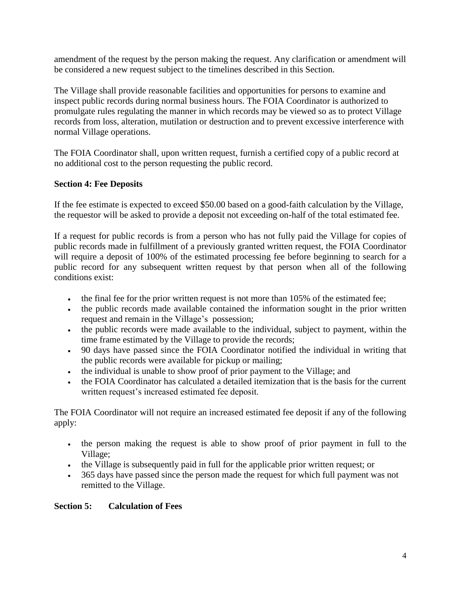amendment of the request by the person making the request. Any clarification or amendment will be considered a new request subject to the timelines described in this Section.

The Village shall provide reasonable facilities and opportunities for persons to examine and inspect public records during normal business hours. The FOIA Coordinator is authorized to promulgate rules regulating the manner in which records may be viewed so as to protect Village records from loss, alteration, mutilation or destruction and to prevent excessive interference with normal Village operations.

The FOIA Coordinator shall, upon written request, furnish a certified copy of a public record at no additional cost to the person requesting the public record.

### **Section 4: Fee Deposits**

If the fee estimate is expected to exceed \$50.00 based on a good-faith calculation by the Village, the requestor will be asked to provide a deposit not exceeding on-half of the total estimated fee.

If a request for public records is from a person who has not fully paid the Village for copies of public records made in fulfillment of a previously granted written request, the FOIA Coordinator will require a deposit of 100% of the estimated processing fee before beginning to search for a public record for any subsequent written request by that person when all of the following conditions exist:

- $\bullet$  the final fee for the prior written request is not more than 105% of the estimated fee;
- the public records made available contained the information sought in the prior written request and remain in the Village's possession;
- the public records were made available to the individual, subject to payment, within the time frame estimated by the Village to provide the records;
- 90 days have passed since the FOIA Coordinator notified the individual in writing that the public records were available for pickup or mailing;
- the individual is unable to show proof of prior payment to the Village; and
- the FOIA Coordinator has calculated a detailed itemization that is the basis for the current written request's increased estimated fee deposit.

The FOIA Coordinator will not require an increased estimated fee deposit if any of the following apply:

- the person making the request is able to show proof of prior payment in full to the Village;
- the Village is subsequently paid in full for the applicable prior written request; or
- 365 days have passed since the person made the request for which full payment was not remitted to the Village.

#### **Section 5: Calculation of Fees**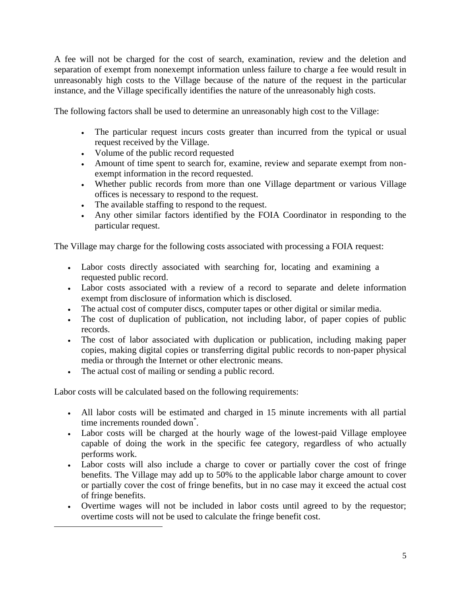A fee will not be charged for the cost of search, examination, review and the deletion and separation of exempt from nonexempt information unless failure to charge a fee would result in unreasonably high costs to the Village because of the nature of the request in the particular instance, and the Village specifically identifies the nature of the unreasonably high costs.

The following factors shall be used to determine an unreasonably high cost to the Village:

- The particular request incurs costs greater than incurred from the typical or usual request received by the Village.
- Volume of the public record requested
- Amount of time spent to search for, examine, review and separate exempt from nonexempt information in the record requested.
- Whether public records from more than one Village department or various Village offices is necessary to respond to the request.
- The available staffing to respond to the request.
- Any other similar factors identified by the FOIA Coordinator in responding to the particular request.

The Village may charge for the following costs associated with processing a FOIA request:

- Labor costs directly associated with searching for, locating and examining a requested public record.
- Labor costs associated with a review of a record to separate and delete information exempt from disclosure of information which is disclosed.
- The actual cost of computer discs, computer tapes or other digital or similar media.
- The cost of duplication of publication, not including labor, of paper copies of public records.
- The cost of labor associated with duplication or publication, including making paper copies, making digital copies or transferring digital public records to non-paper physical media or through the Internet or other electronic means.
- The actual cost of mailing or sending a public record.

 $\overline{a}$ 

Labor costs will be calculated based on the following requirements:

- All labor costs will be estimated and charged in 15 minute increments with all partial time increments rounded down<sup>\*</sup>.
- Labor costs will be charged at the hourly wage of the lowest-paid Village employee capable of doing the work in the specific fee category, regardless of who actually performs work.
- Labor costs will also include a charge to cover or partially cover the cost of fringe benefits. The Village may add up to 50% to the applicable labor charge amount to cover or partially cover the cost of fringe benefits, but in no case may it exceed the actual cost of fringe benefits.
- Overtime wages will not be included in labor costs until agreed to by the requestor; overtime costs will not be used to calculate the fringe benefit cost.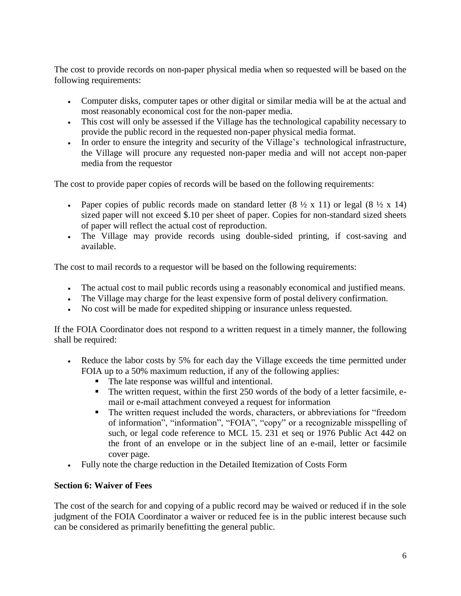The cost to provide records on non-paper physical media when so requested will be based on the following requirements:

- Computer disks, computer tapes or other digital or similar media will be at the actual and most reasonably economical cost for the non-paper media.
- This cost will only be assessed if the Village has the technological capability necessary to provide the public record in the requested non-paper physical media format.
- In order to ensure the integrity and security of the Village's technological infrastructure, the Village will procure any requested non-paper media and will not accept non-paper media from the requestor

The cost to provide paper copies of records will be based on the following requirements:

- Paper copies of public records made on standard letter  $(8 \frac{1}{2} \times 11)$  or legal  $(8 \frac{1}{2} \times 14)$ sized paper will not exceed \$.10 per sheet of paper. Copies for non-standard sized sheets of paper will reflect the actual cost of reproduction.
- The Village may provide records using double-sided printing, if cost-saving and available.

The cost to mail records to a requestor will be based on the following requirements:

- The actual cost to mail public records using a reasonably economical and justified means.
- The Village may charge for the least expensive form of postal delivery confirmation.
- No cost will be made for expedited shipping or insurance unless requested.

If the FOIA Coordinator does not respond to a written request in a timely manner, the following shall be required:

- Reduce the labor costs by 5% for each day the Village exceeds the time permitted under FOIA up to a 50% maximum reduction, if any of the following applies:
	- The late response was willful and intentional.
	- The written request, within the first 250 words of the body of a letter facsimile, email or e-mail attachment conveyed a request for information
	- The written request included the words, characters, or abbreviations for "freedom" of information", "information", "FOIA", "copy" or a recognizable misspelling of such, or legal code reference to MCL 15. 231 et seq or 1976 Public Act 442 on the front of an envelope or in the subject line of an e-mail, letter or facsimile cover page.
- Fully note the charge reduction in the Detailed Itemization of Costs Form

#### **Section 6: Waiver of Fees**

The cost of the search for and copying of a public record may be waived or reduced if in the sole judgment of the FOIA Coordinator a waiver or reduced fee is in the public interest because such can be considered as primarily benefitting the general public.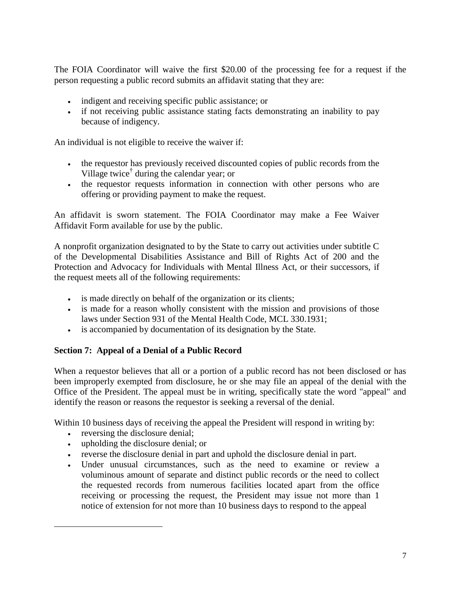The FOIA Coordinator will waive the first \$20.00 of the processing fee for a request if the person requesting a public record submits an affidavit stating that they are:

- indigent and receiving specific public assistance; or
- if not receiving public assistance stating facts demonstrating an inability to pay because of indigency.

An individual is not eligible to receive the waiver if:

- the requestor has previously received discounted copies of public records from the Village twice† during the calendar year; or
- the requestor requests information in connection with other persons who are offering or providing payment to make the request.

An affidavit is sworn statement. The FOIA Coordinator may make a Fee Waiver Affidavit Form available for use by the public.

A nonprofit organization designated to by the State to carry out activities under subtitle C of the Developmental Disabilities Assistance and Bill of Rights Act of 200 and the Protection and Advocacy for Individuals with Mental Illness Act, or their successors, if the request meets all of the following requirements:

- is made directly on behalf of the organization or its clients;
- is made for a reason wholly consistent with the mission and provisions of those laws under Section 931 of the Mental Health Code, MCL 330.1931;
- is accompanied by documentation of its designation by the State.

#### **Section 7: Appeal of a Denial of a Public Record**

When a requestor believes that all or a portion of a public record has not been disclosed or has been improperly exempted from disclosure, he or she may file an appeal of the denial with the Office of the President. The appeal must be in writing, specifically state the word "appeal" and identify the reason or reasons the requestor is seeking a reversal of the denial.

Within 10 business days of receiving the appeal the President will respond in writing by:

• reversing the disclosure denial:

 $\overline{a}$ 

- upholding the disclosure denial; or
- reverse the disclosure denial in part and uphold the disclosure denial in part.
- Under unusual circumstances, such as the need to examine or review a voluminous amount of separate and distinct public records or the need to collect the requested records from numerous facilities located apart from the office receiving or processing the request, the President may issue not more than 1 notice of extension for not more than 10 business days to respond to the appeal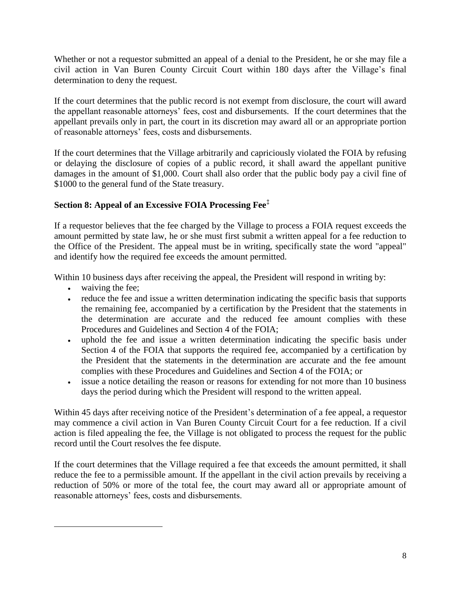Whether or not a requestor submitted an appeal of a denial to the President, he or she may file a civil action in Van Buren County Circuit Court within 180 days after the Village's final determination to deny the request.

If the court determines that the public record is not exempt from disclosure, the court will award the appellant reasonable attorneys' fees, cost and disbursements. If the court determines that the appellant prevails only in part, the court in its discretion may award all or an appropriate portion of reasonable attorneys' fees, costs and disbursements.

If the court determines that the Village arbitrarily and capriciously violated the FOIA by refusing or delaying the disclosure of copies of a public record, it shall award the appellant punitive damages in the amount of \$1,000. Court shall also order that the public body pay a civil fine of \$1000 to the general fund of the State treasury.

### **Section 8: Appeal of an Excessive FOIA Processing Fee‡**

If a requestor believes that the fee charged by the Village to process a FOIA request exceeds the amount permitted by state law, he or she must first submit a written appeal for a fee reduction to the Office of the President. The appeal must be in writing, specifically state the word "appeal" and identify how the required fee exceeds the amount permitted.

Within 10 business days after receiving the appeal, the President will respond in writing by:

• waiving the fee;

 $\overline{a}$ 

- reduce the fee and issue a written determination indicating the specific basis that supports the remaining fee, accompanied by a certification by the President that the statements in the determination are accurate and the reduced fee amount complies with these Procedures and Guidelines and Section 4 of the FOIA;
- uphold the fee and issue a written determination indicating the specific basis under Section 4 of the FOIA that supports the required fee, accompanied by a certification by the President that the statements in the determination are accurate and the fee amount complies with these Procedures and Guidelines and Section 4 of the FOIA; or
- issue a notice detailing the reason or reasons for extending for not more than 10 business days the period during which the President will respond to the written appeal.

Within 45 days after receiving notice of the President's determination of a fee appeal, a requestor may commence a civil action in Van Buren County Circuit Court for a fee reduction. If a civil action is filed appealing the fee, the Village is not obligated to process the request for the public record until the Court resolves the fee dispute.

If the court determines that the Village required a fee that exceeds the amount permitted, it shall reduce the fee to a permissible amount. If the appellant in the civil action prevails by receiving a reduction of 50% or more of the total fee, the court may award all or appropriate amount of reasonable attorneys' fees, costs and disbursements.